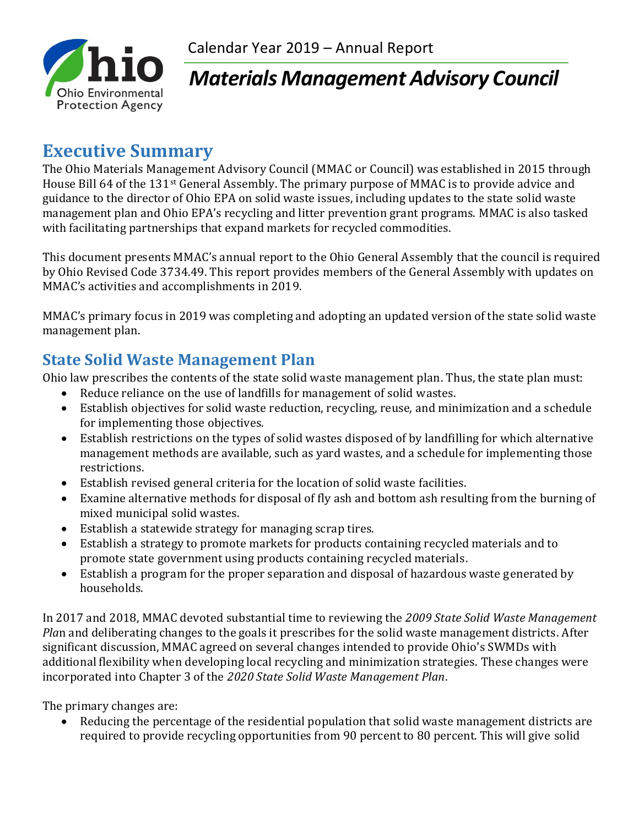

# *Materials Management Advisory Council*

## **Executive Summary**

The Ohio Materials Management Advisory Council (MMAC or Council) was established in 2015 through House Bill 64 of the 131st General Assembly. The primary purpose of MMAC is to provide advice and guidance to the director of Ohio EPA on solid waste issues, including updates to the state solid waste management plan and Ohio EPA's recycling and litter prevention grant programs. MMAC is also tasked with facilitating partnerships that expand markets for recycled commodities.

This document presents MMAC's annual report to the Ohio General Assembly that the council is required by Ohio Revised Code 3734.49. This report provides members of the General Assembly with updates on MMAC's activities and accomplishments in 2019.

MMAC's primary focus in 2019 was completing and adopting an updated version of the state solid waste management plan.

### **State Solid Waste Management Plan**

Ohio law prescribes the contents of the state solid waste management plan. Thus, the state plan must:

- Reduce reliance on the use of landfills for management of solid wastes.
- Establish objectives for solid waste reduction, recycling, reuse, and minimization and a schedule for implementing those objectives.
- Establish restrictions on the types of solid wastes disposed of by landfilling for which alternative management methods are available, such as yard wastes, and a schedule for implementing those restrictions.
- Establish revised general criteria for the location of solid waste facilities.
- Examine alternative methods for disposal of fly ash and bottom ash resulting from the burning of mixed municipal solid wastes.
- Establish a statewide strategy for managing scrap tires.
- Establish a strategy to promote markets for products containing recycled materials and to promote state government using products containing recycled materials.
- Establish a program for the proper separation and disposal of hazardous waste generated by households.

In 2017 and 2018, MMAC devoted substantial time to reviewing the *2009 State Solid Waste Management Pla*n and deliberating changes to the goals it prescribes for the solid waste management districts. After significant discussion, MMAC agreed on several changes intended to provide Ohio's SWMDs with additional flexibility when developing local recycling and minimization strategies. These changes were incorporated into Chapter 3 of the *2020 State Solid Waste Management Plan*.

The primary changes are:

• Reducing the percentage of the residential population that solid waste management districts are required to provide recycling opportunities from 90 percent to 80 percent. This will give solid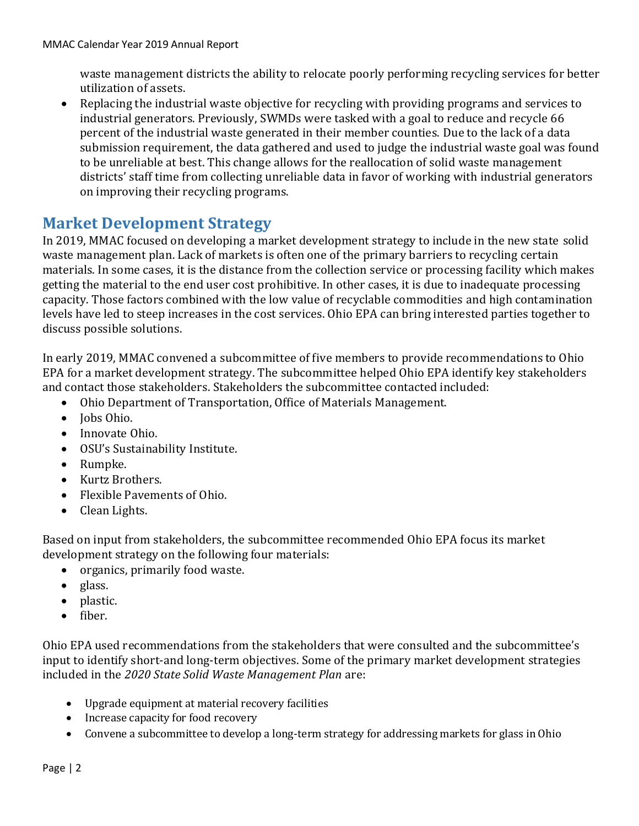waste management districts the ability to relocate poorly performing recycling services for better utilization of assets.

• Replacing the industrial waste objective for recycling with providing programs and services to industrial generators. Previously, SWMDs were tasked with a goal to reduce and recycle 66 percent of the industrial waste generated in their member counties. Due to the lack of a data submission requirement, the data gathered and used to judge the industrial waste goal was found to be unreliable at best. This change allows for the reallocation of solid waste management districts' staff time from collecting unreliable data in favor of working with industrial generators on improving their recycling programs.

#### **Market Development Strategy**

In 2019, MMAC focused on developing a market development strategy to include in the new state solid waste management plan. Lack of markets is often one of the primary barriers to recycling certain materials. In some cases, it is the distance from the collection service or processing facility which makes getting the material to the end user cost prohibitive. In other cases, it is due to inadequate processing capacity. Those factors combined with the low value of recyclable commodities and high contamination levels have led to steep increases in the cost services. Ohio EPA can bring interested parties together to discuss possible solutions.

In early 2019, MMAC convened a subcommittee of five members to provide recommendations to Ohio EPA for a market development strategy. The subcommittee helped Ohio EPA identify key stakeholders and contact those stakeholders. Stakeholders the subcommittee contacted included:

- Ohio Department of Transportation, Office of Materials Management.
- Jobs Ohio.
- Innovate Ohio.
- OSU's Sustainability Institute.
- Rumpke.
- Kurtz Brothers.
- Flexible Pavements of Ohio.
- Clean Lights.

Based on input from stakeholders, the subcommittee recommended Ohio EPA focus its market development strategy on the following four materials:

- organics, primarily food waste.
- glass.
- plastic.
- fiber.

Ohio EPA used recommendations from the stakeholders that were consulted and the subcommittee's input to identify short-and long-term objectives. Some of the primary market development strategies included in the *2020 State Solid Waste Management Plan* are:

- Upgrade equipment at material recovery facilities
- Increase capacity for food recovery
- Convene a subcommittee to develop a long-term strategy for addressing markets for glass in Ohio